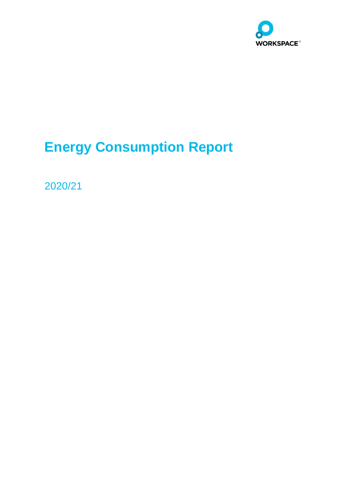

# **Energy Consumption Report**

2020/21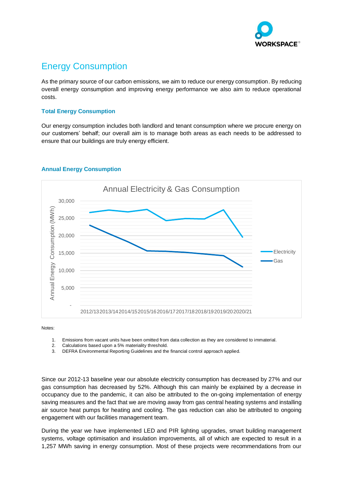

# Energy Consumption

As the primary source of our carbon emissions, we aim to reduce our energy consumption. By reducing overall energy consumption and improving energy performance we also aim to reduce operational costs.

#### **Total Energy Consumption**

Our energy consumption includes both landlord and tenant consumption where we procure energy on our customers' behalf; our overall aim is to manage both areas as each needs to be addressed to ensure that our buildings are truly energy efficient.



## **Annual Energy Consumption**

Notes:

- 1. Emissions from vacant units have been omitted from data collection as they are considered to immaterial.
- 2. Calculations based upon a 5% materiality threshold.
- 3. DEFRA Environmental Reporting Guidelines and the financial control approach applied.

Since our 2012-13 baseline year our absolute electricity consumption has decreased by 27% and our gas consumption has decreased by 52%. Although this can mainly be explained by a decrease in occupancy due to the pandemic, it can also be attributed to the on-going implementation of energy saving measures and the fact that we are moving away from gas central heating systems and installing air source heat pumps for heating and cooling. The gas reduction can also be attributed to ongoing engagement with our facilities management team.

During the year we have implemented LED and PIR lighting upgrades, smart building management systems, voltage optimisation and insulation improvements, all of which are expected to result in a 1,257 MWh saving in energy consumption. Most of these projects were recommendations from our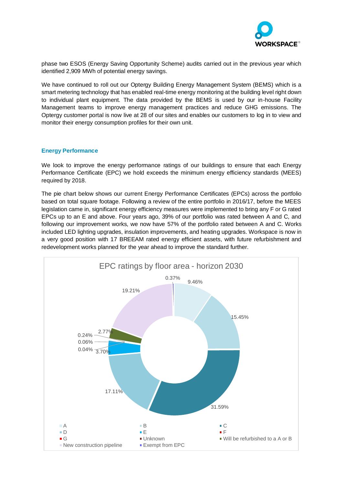

phase two ESOS (Energy Saving Opportunity Scheme) audits carried out in the previous year which identified 2,909 MWh of potential energy savings.

We have continued to roll out our Optergy Building Energy Management System (BEMS) which is a smart metering technology that has enabled real-time energy monitoring at the building level right down to individual plant equipment. The data provided by the BEMS is used by our in-house Facility Management teams to improve energy management practices and reduce GHG emissions. The Optergy customer portal is now live at 28 of our sites and enables our customers to log in to view and monitor their energy consumption profiles for their own unit.

#### **Energy Performance**

We look to improve the energy performance ratings of our buildings to ensure that each Energy Performance Certificate (EPC) we hold exceeds the minimum energy efficiency standards (MEES) required by 2018.

The pie chart below shows our current Energy Performance Certificates (EPCs) across the portfolio based on total square footage. Following a review of the entire portfolio in 2016/17, before the MEES legislation came in, significant energy efficiency measures were implemented to bring any F or G rated EPCs up to an E and above. Four years ago, 39% of our portfolio was rated between A and C, and following our improvement works, we now have 57% of the portfolio rated between A and C. Works included LED lighting upgrades, insulation improvements, and heating upgrades. Workspace is now in a very good position with 17 BREEAM rated energy efficient assets, with future refurbishment and redevelopment works planned for the year ahead to improve the standard further.